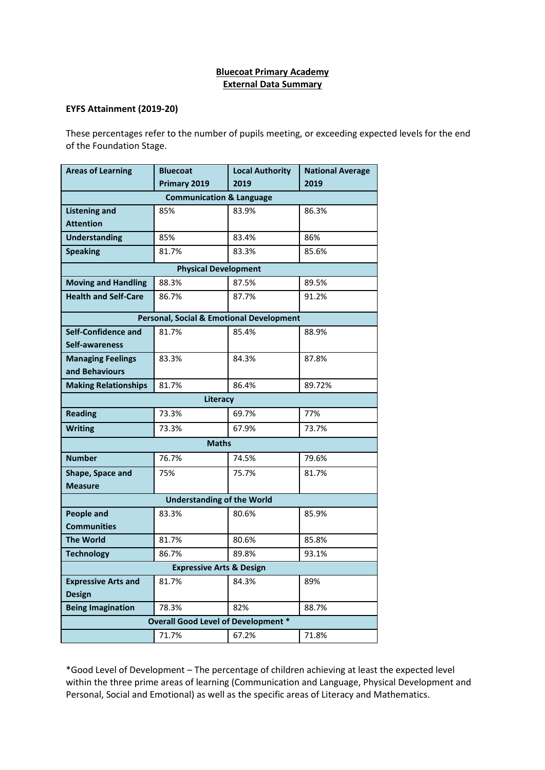## **Bluecoat Primary Academy External Data Summary**

## **EYFS Attainment (2019-20)**

These percentages refer to the number of pupils meeting, or exceeding expected levels for the end of the Foundation Stage.

| <b>Areas of Learning</b>                   | <b>Bluecoat</b>                                     | <b>Local Authority</b> | <b>National Average</b> |  |  |  |  |
|--------------------------------------------|-----------------------------------------------------|------------------------|-------------------------|--|--|--|--|
|                                            | Primary 2019                                        | 2019                   | 2019                    |  |  |  |  |
| <b>Communication &amp; Language</b>        |                                                     |                        |                         |  |  |  |  |
| <b>Listening and</b>                       | 85%                                                 | 83.9%                  | 86.3%                   |  |  |  |  |
| <b>Attention</b>                           |                                                     |                        |                         |  |  |  |  |
| <b>Understanding</b>                       | 85%                                                 | 83.4%                  | 86%                     |  |  |  |  |
| <b>Speaking</b>                            | 81.7%                                               | 83.3%                  | 85.6%                   |  |  |  |  |
| <b>Physical Development</b>                |                                                     |                        |                         |  |  |  |  |
| <b>Moving and Handling</b>                 | 88.3%                                               | 87.5%                  | 89.5%                   |  |  |  |  |
| <b>Health and Self-Care</b>                | 86.7%                                               | 87.7%                  | 91.2%                   |  |  |  |  |
|                                            | <b>Personal, Social &amp; Emotional Development</b> |                        |                         |  |  |  |  |
| <b>Self-Confidence and</b>                 | 81.7%                                               | 85.4%                  | 88.9%                   |  |  |  |  |
| Self-awareness                             |                                                     |                        |                         |  |  |  |  |
| <b>Managing Feelings</b>                   | 83.3%                                               | 84.3%                  | 87.8%                   |  |  |  |  |
| and Behaviours                             |                                                     |                        |                         |  |  |  |  |
| <b>Making Relationships</b>                | 81.7%                                               | 86.4%                  | 89.72%                  |  |  |  |  |
| Literacy                                   |                                                     |                        |                         |  |  |  |  |
| <b>Reading</b>                             | 73.3%                                               | 69.7%                  | 77%                     |  |  |  |  |
| <b>Writing</b>                             | 73.3%                                               | 67.9%                  | 73.7%                   |  |  |  |  |
| <b>Maths</b>                               |                                                     |                        |                         |  |  |  |  |
| <b>Number</b>                              | 76.7%                                               | 74.5%                  | 79.6%                   |  |  |  |  |
| Shape, Space and                           | 75%                                                 | 75.7%                  | 81.7%                   |  |  |  |  |
| <b>Measure</b>                             |                                                     |                        |                         |  |  |  |  |
| <b>Understanding of the World</b>          |                                                     |                        |                         |  |  |  |  |
| <b>People and</b>                          | 83.3%                                               | 80.6%                  | 85.9%                   |  |  |  |  |
| <b>Communities</b>                         |                                                     |                        |                         |  |  |  |  |
| <b>The World</b>                           | 81.7%                                               | 80.6%                  | 85.8%                   |  |  |  |  |
| <b>Technology</b>                          | 86.7%                                               | 89.8%                  | 93.1%                   |  |  |  |  |
| <b>Expressive Arts &amp; Design</b>        |                                                     |                        |                         |  |  |  |  |
| <b>Expressive Arts and</b>                 | 81.7%                                               | 84.3%                  | 89%                     |  |  |  |  |
| <b>Design</b>                              |                                                     |                        |                         |  |  |  |  |
| <b>Being Imagination</b>                   | 78.3%                                               | 82%                    | 88.7%                   |  |  |  |  |
| <b>Overall Good Level of Development *</b> |                                                     |                        |                         |  |  |  |  |
|                                            | 71.7%                                               | 67.2%                  | 71.8%                   |  |  |  |  |

\*Good Level of Development – The percentage of children achieving at least the expected level within the three prime areas of learning (Communication and Language, Physical Development and Personal, Social and Emotional) as well as the specific areas of Literacy and Mathematics.